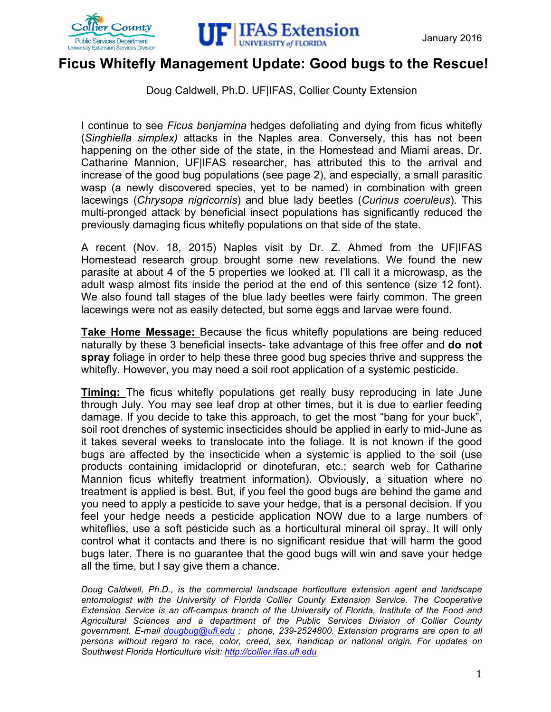



## **Ficus Whitefly Management Update: Good bugs to the Rescue!**

Doug Caldwell, Ph.D. UF|IFAS, Collier County Extension

I continue to see *Ficus benjamina* hedges defoliating and dying from ficus whitefly (*Singhiella simplex)* attacks in the Naples area. Conversely, this has not been happening on the other side of the state, in the Homestead and Miami areas. Dr. Catharine Mannion, UF|IFAS researcher, has attributed this to the arrival and increase of the good bug populations (see page 2), and especially, a small parasitic wasp (a newly discovered species, yet to be named) in combination with green lacewings (*Chrysopa nigricornis*) and blue lady beetles (*Curinus coeruleus*). This multi-pronged attack by beneficial insect populations has significantly reduced the previously damaging ficus whitefly populations on that side of the state.

A recent (Nov. 18, 2015) Naples visit by Dr. Z. Ahmed from the UF|IFAS Homestead research group brought some new revelations. We found the new parasite at about 4 of the 5 properties we looked at. I'll call it a microwasp, as the adult wasp almost fits inside the period at the end of this sentence (size 12 font). We also found tall stages of the blue lady beetles were fairly common. The green lacewings were not as easily detected, but some eggs and larvae were found.

**Take Home Message:** Because the ficus whitefly populations are being reduced naturally by these 3 beneficial insects- take advantage of this free offer and **do not spray** foliage in order to help these three good bug species thrive and suppress the whitefly. However, you may need a soil root application of a systemic pesticide.

**Timing:** The ficus whitefly populations get really busy reproducing in late June through July. You may see leaf drop at other times, but it is due to earlier feeding damage. If you decide to take this approach, to get the most "bang for your buck", soil root drenches of systemic insecticides should be applied in early to mid-June as it takes several weeks to translocate into the foliage. It is not known if the good bugs are affected by the insecticide when a systemic is applied to the soil (use products containing imidacloprid or dinotefuran, etc.; search web for Catharine Mannion ficus whitefly treatment information). Obviously, a situation where no treatment is applied is best. But, if you feel the good bugs are behind the game and you need to apply a pesticide to save your hedge, that is a personal decision. If you feel your hedge needs a pesticide application NOW due to a large numbers of whiteflies, use a soft pesticide such as a horticultural mineral oil spray. It will only control what it contacts and there is no significant residue that will harm the good bugs later. There is no guarantee that the good bugs will win and save your hedge all the time, but I say give them a chance.

*Doug Caldwell, Ph.D., is the commercial landscape horticulture extension agent and landscape entomologist with the University of Florida Collier County Extension Service. The Cooperative Extension Service is an off-campus branch of the University of Florida, Institute of the Food and Agricultural Sciences and a department of the Public Services Division of Collier County government. E-mail dougbug@ufl.edu ; phone, 239-2524800. Extension programs are open to all persons without regard to race, color, creed, sex, handicap or national origin. For updates on Southwest Florida Horticulture visit: http://collier.ifas.ufl.edu*